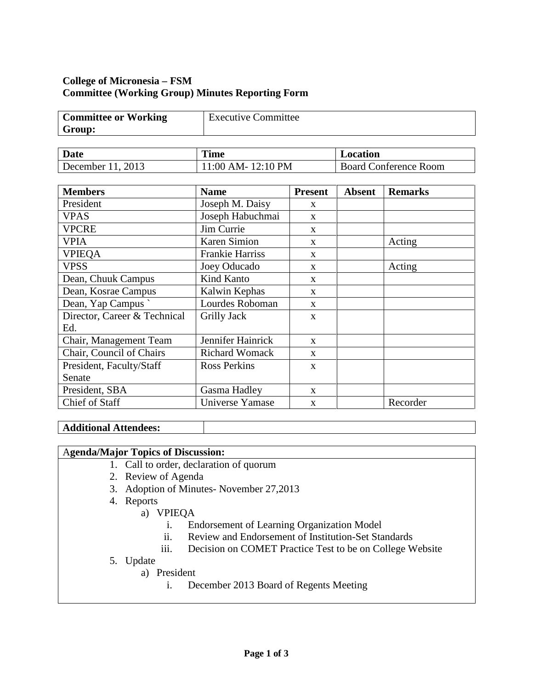## **College of Micronesia – FSM Committee (Working Group) Minutes Reporting Form**

| <b>Committee or Working</b> | <b>Executive Committee</b> |
|-----------------------------|----------------------------|
| Group:                      |                            |

| Date              | <b>Time</b>           | Location                     |
|-------------------|-----------------------|------------------------------|
| December 11, 2013 | $1:00$ AM- $12:10$ PM | <b>Board Conference Room</b> |

| <b>Members</b>               | <b>Name</b>            | <b>Present</b> | <b>Absent</b> | <b>Remarks</b> |
|------------------------------|------------------------|----------------|---------------|----------------|
| President                    | Joseph M. Daisy        | X              |               |                |
| <b>VPAS</b>                  | Joseph Habuchmai       | $\mathbf{x}$   |               |                |
| <b>VPCRE</b>                 | Jim Currie             | X              |               |                |
| <b>VPIA</b>                  | Karen Simion           | X              |               | Acting         |
| <b>VPIEQA</b>                | <b>Frankie Harriss</b> | $\mathbf{x}$   |               |                |
| <b>VPSS</b>                  | Joey Oducado           | X              |               | Acting         |
| Dean, Chuuk Campus           | Kind Kanto             | $\mathbf{x}$   |               |                |
| Dean, Kosrae Campus          | Kalwin Kephas          | $\mathbf{x}$   |               |                |
| Dean, Yap Campus             | Lourdes Roboman        | $\mathbf{x}$   |               |                |
| Director, Career & Technical | Grilly Jack            | $\mathbf{X}$   |               |                |
| Ed.                          |                        |                |               |                |
| Chair, Management Team       | Jennifer Hainrick      | $\mathbf{X}$   |               |                |
| Chair, Council of Chairs     | <b>Richard Womack</b>  | $\mathbf{X}$   |               |                |
| President, Faculty/Staff     | <b>Ross Perkins</b>    | $\mathbf{X}$   |               |                |
| Senate                       |                        |                |               |                |
| President, SBA               | Gasma Hadley           | $\mathbf{x}$   |               |                |
| Chief of Staff               | Universe Yamase        | $\mathbf{X}$   |               | Recorder       |

## **Additional Attendees:**

## A**genda/Major Topics of Discussion:**

- 1. Call to order, declaration of quorum
- 2. Review of Agenda
- 3. Adoption of Minutes- November 27,2013
- 4. Reports
	- a) VPIEQA
		- i. Endorsement of Learning Organization Model
		- ii. Review and Endorsement of Institution-Set Standards
		- iii. Decision on COMET Practice Test to be on College Website
- 5. Update
	- a) President
		- i. December 2013 Board of Regents Meeting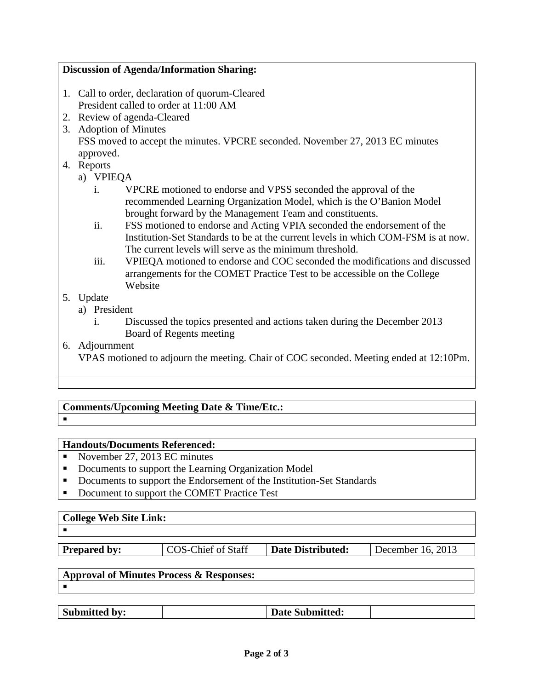## **Discussion of Agenda/Information Sharing:**

- 1. Call to order, declaration of quorum-Cleared President called to order at 11:00 AM
- 2. Review of agenda-Cleared
- 3. Adoption of Minutes FSS moved to accept the minutes. VPCRE seconded. November 27, 2013 EC minutes approved.
- 4. Reports
	- a) VPIEQA
		- i. VPCRE motioned to endorse and VPSS seconded the approval of the recommended Learning Organization Model, which is the O'Banion Model brought forward by the Management Team and constituents.
		- ii. FSS motioned to endorse and Acting VPIA seconded the endorsement of the Institution-Set Standards to be at the current levels in which COM-FSM is at now. The current levels will serve as the minimum threshold.
		- iii. VPIEQA motioned to endorse and COC seconded the modifications and discussed arrangements for the COMET Practice Test to be accessible on the College Website
- 5. Update
	- a) President
		- i. Discussed the topics presented and actions taken during the December 2013 Board of Regents meeting
- 6. Adjournment

VPAS motioned to adjourn the meeting. Chair of COC seconded. Meeting ended at 12:10Pm.

## **Comments/Upcoming Meeting Date & Time/Etc.:**

# **Handouts/Documents Referenced:**

- November 27, 2013 EC minutes
- Documents to support the Learning Organization Model
- Documents to support the Endorsement of the Institution-Set Standards
- Document to support the COMET Practice Test

# **College Web Site Link:**

 $\blacksquare$ 

**Prepared by:**  $\vert$  COS-Chief of Staff  $\vert$  **Date Distributed:**  $\vert$  December 16, 2013

#### **Approval of Minutes Process & Responses:**  $\blacksquare$

| <b>Submitted by:</b> |  |
|----------------------|--|
|----------------------|--|

**Submitted by: Date Submitted:**

 $\blacksquare$